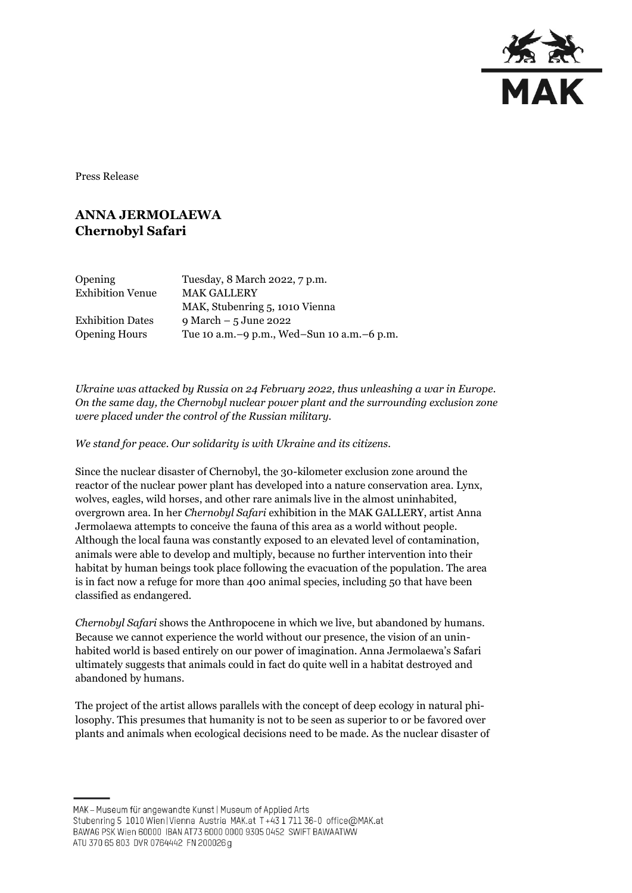

Press Release

## **ANNA JERMOLAEWA Chernobyl Safari**

| <b>Opening</b>          | Tuesday, 8 March 2022, 7 p.m.                |
|-------------------------|----------------------------------------------|
| <b>Exhibition Venue</b> | <b>MAK GALLERY</b>                           |
|                         | MAK, Stubenring 5, 1010 Vienna               |
| <b>Exhibition Dates</b> | $9$ March $-5$ June 2022                     |
| <b>Opening Hours</b>    | Tue 10 a.m. -9 p.m., Wed-Sun 10 a.m. -6 p.m. |

*Ukraine was attacked by Russia on 24 February 2022, thus unleashing a war in Europe. On the same day, the Chernobyl nuclear power plant and the surrounding exclusion zone were placed under the control of the Russian military.*

*We stand for peace. Our solidarity is with Ukraine and its citizens.*

Since the nuclear disaster of Chernobyl, the 30-kilometer exclusion zone around the reactor of the nuclear power plant has developed into a nature conservation area. Lynx, wolves, eagles, wild horses, and other rare animals live in the almost uninhabited, overgrown area. In her *Chernobyl Safari* exhibition in the MAK GALLERY, artist Anna Jermolaewa attempts to conceive the fauna of this area as a world without people. Although the local fauna was constantly exposed to an elevated level of contamination, animals were able to develop and multiply, because no further intervention into their habitat by human beings took place following the evacuation of the population. The area is in fact now a refuge for more than 400 animal species, including 50 that have been classified as endangered.

*Chernobyl Safari* shows the Anthropocene in which we live, but abandoned by humans. Because we cannot experience the world without our presence, the vision of an uninhabited world is based entirely on our power of imagination. Anna Jermolaewa's Safari ultimately suggests that animals could in fact do quite well in a habitat destroyed and abandoned by humans.

The project of the artist allows parallels with the concept of deep ecology in natural philosophy. This presumes that humanity is not to be seen as superior to or be favored over plants and animals when ecological decisions need to be made. As the nuclear disaster of

MAK - Museum für angewandte Kunst | Museum of Applied Arts

ATU 370 65 803 DVR 0764442 FN 200026 g

Stubenring 5 1010 Wien | Vienna Austria MAK.at T+43 1 711 36-0 office@MAK.at

BAWAG PSK Wien 60000 IBAN AT73 6000 0000 9305 0452 SWIFT BAWAATWW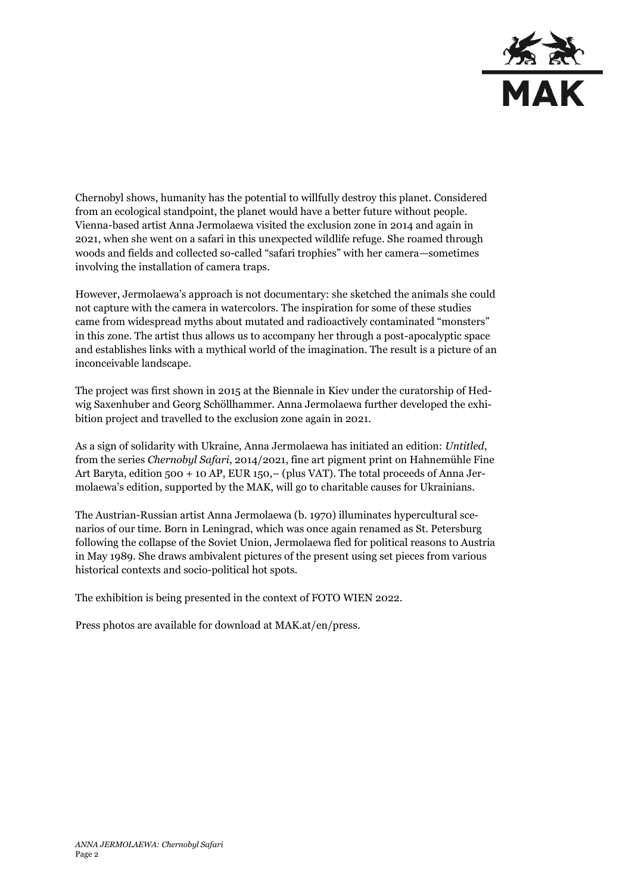

Chernobyl shows, humanity has the potential to willfully destroy this planet. Considered from an ecological standpoint, the planet would have a better future without people. Vienna-based artist Anna Jermolaewa visited the exclusion zone in 2014 and again in 2021, when she went on a safari in this unexpected wildlife refuge. She roamed through woods and fields and collected so-called "safari trophies" with her camera—sometimes involving the installation of camera traps.

However, Jermolaewa's approach is not documentary: she sketched the animals she could not capture with the camera in watercolors. The inspiration for some of these studies came from widespread myths about mutated and radioactively contaminated "monsters" in this zone. The artist thus allows us to accompany her through a post-apocalyptic space and establishes links with a mythical world of the imagination. The result is a picture of an inconceivable landscape.

The project was first shown in 2015 at the Biennale in Kiev under the curatorship of Hedwig Saxenhuber and Georg Schöllhammer. Anna Jermolaewa further developed the exhibition project and travelled to the exclusion zone again in 2021.

As a sign of solidarity with Ukraine, Anna Jermolaewa has initiated an edition: *Untitled*, from the series *Chernobyl Safari*, 2014/2021, fine art pigment print on Hahnemühle Fine Art Baryta, edition 500 + 10 AP, EUR 150,– (plus VAT). The total proceeds of Anna Jermolaewa's edition, supported by the MAK, will go to charitable causes for Ukrainians.

The Austrian-Russian artist Anna Jermolaewa (b. 1970) illuminates hypercultural scenarios of our time. Born in Leningrad, which was once again renamed as St. Petersburg following the collapse of the Soviet Union, Jermolaewa fled for political reasons to Austria in May 1989. She draws ambivalent pictures of the present using set pieces from various historical contexts and socio-political hot spots.

The exhibition is being presented in the context of FOTO WIEN 2022.

Press photos are available for download at MAK.at/en/press.